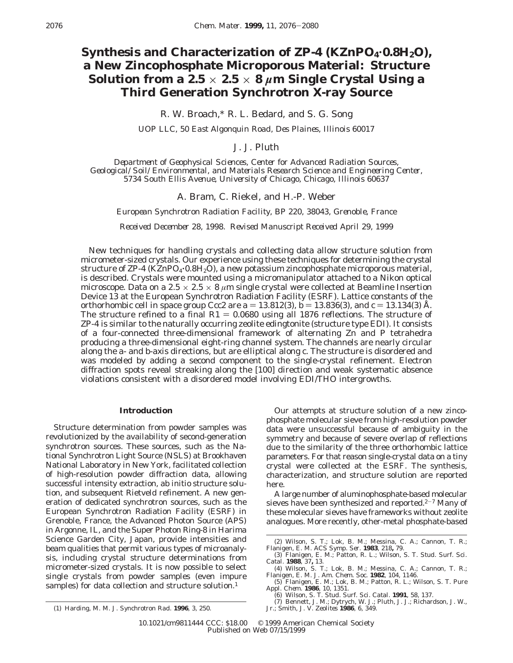# Synthesis and Characterization of ZP-4 (KZnPO<sub>4</sub>.0.8H<sub>2</sub>O), **a New Zincophosphate Microporous Material: Structure Solution from a 2.5**  $\times$  **2.5**  $\times$  **8**  $\mu$ **m Single Crystal Using a Third Generation Synchrotron X-ray Source**

R. W. Broach,\* R. L. Bedard, and S. G. Song

*UOP LLC, 50 East Algonquin Road, Des Plaines, Illinois 60017*

J. J. Pluth

*Department of Geophysical Sciences, Center for Advanced Radiation Sources, Geological/Soil/Environmental, and Materials Research Science and Engineering Center, 5734 South Ellis Avenue, University of Chicago, Chicago, Illinois 60637*

A. Bram, C. Riekel, and H.-P. Weber

*European Synchrotron Radiation Facility, BP 220, 38043, Grenoble, France*

*Received December 28, 1998. Revised Manuscript Received April 29, 1999*

New techniques for handling crystals and collecting data allow structure solution from micrometer-sized crystals. Our experience using these techniques for determining the crystal structure of  $\text{ZP-4}$  (KZnPO<sub>4</sub> $\cdot$ 0.8H<sub>2</sub>O), a new potassium zincophosphate microporous material, is described. Crystals were mounted using a micromanipulator attached to a Nikon optical microscope. Data on a  $2.5 \times 2.5 \times 8 \ \mu m$  single crystal were collected at Beamline Insertion Device 13 at the European Synchrotron Radiation Facility (ESRF). Lattice constants of the orthorhombic cell in space group *Ccc*2 are  $a = 13.812(3)$ ,  $b = 13.836(3)$ , and  $c = 13.134(3)$  Å. The structure refined to a final  $R1 = 0.0680$  using all 1876 reflections. The structure of ZP-4 is similar to the naturally occurring zeolite edingtonite (structure type EDI). It consists of a four-connected three-dimensional framework of alternating Zn and P tetrahedra producing a three-dimensional eight-ring channel system. The channels are nearly circular along the *a*- and *b*-axis directions, but are elliptical along *c*. The structure is disordered and was modeled by adding a second component to the single-crystal refinement. Electron diffraction spots reveal streaking along the [100] direction and weak systematic absence violations consistent with a disordered model involving EDI/THO intergrowths.

## **Introduction**

Structure determination from powder samples was revolutionized by the availability of second-generation synchrotron sources. These sources, such as the National Synchrotron Light Source (NSLS) at Brookhaven National Laboratory in New York, facilitated collection of high-resolution powder diffraction data, allowing successful intensity extraction, ab initio structure solution, and subsequent Rietveld refinement. A new generation of dedicated synchrotron sources, such as the European Synchrotron Radiation Facility (ESRF) in Grenoble, France, the Advanced Photon Source (APS) in Argonne, IL, and the Super Photon Ring-8 in Harima Science Garden City, Japan, provide intensities and beam qualities that permit various types of microanalysis, including crystal structure determinations from micrometer-sized crystals. It is now possible to select single crystals from powder samples (even impure samples) for data collection and structure solution.<sup>1</sup>

Our attempts at structure solution of a new zincophosphate molecular sieve from high-resolution powder data were unsuccessful because of ambiguity in the symmetry and because of severe overlap of reflections due to the similarity of the three orthorhombic lattice parameters. For that reason single-crystal data on a tiny crystal were collected at the ESRF. The synthesis, characterization, and structure solution are reported here.

A large number of aluminophosphate-based molecular sieves have been synthesized and reported. $2-7$  Many of these molecular sieves have frameworks without zeolite analogues. More recently, other-metal phosphate-based

<sup>(2)</sup> Wilson, S. T.; Lok, B. M.; Messina, C. A.; Cannon, T. R.; Flanigen, E. M. *ACS Symp. Ser*. **1983**, 218, 79.<br>(3) Flanigen, E. M.; Patton, R. L.; Wilson, S. T. *Stud. Surf. Sci.*<br>*Catal.* **1988**, 37, 13.

<sup>(4)</sup> Wilson, S. T.; Lok, B. M.; Messina, C. A.; Cannon, T. R.; Flanigen, E. M. *J. Am. Chem. Soc.* **1982**,  $104$ ,  $1146$ .<br>
(5) Flanigen, E. M.; Lok, B. M.; Patton, R. L.; Wilson, S. T. *Pure*  $Appl. Chem. 1986$ ,  $10$ , 1351.<br>
(6)

<sup>(1)</sup> Harding, M. M. *J. Synchrotron Rad.* **1996**, *3*, 250.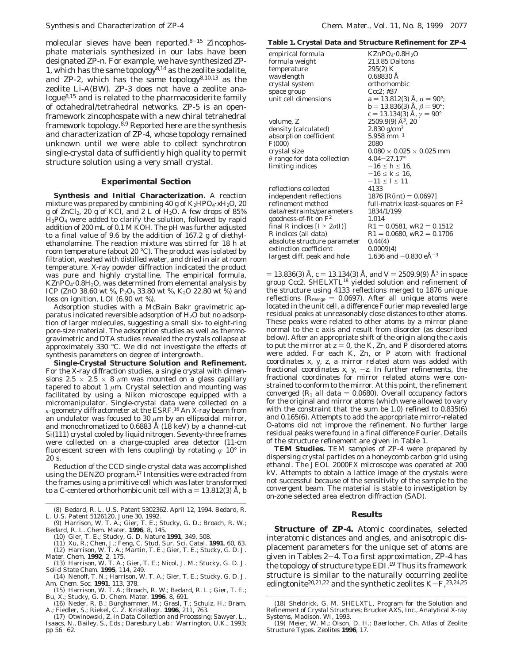molecular sieves have been reported.8-<sup>15</sup> Zincophosphate materials synthesized in our labs have been designated ZP*-n*. For example, we have synthesized ZP-1, which has the same topology8,14 as the zeolite sodalite, and ZP-2, which has the same topology $8,10,13$  as the zeolite Li-A(BW). ZP-3 does not have a zeolite analogue8,15 and is related to the pharmacosiderite family of octahedral/tetrahedral networks. ZP-5 is an openframework zincophospate with a new chiral tetrahedral framework topology.<sup>8,9</sup> Reported here are the synthesis and characterization of ZP-4, whose topology remained unknown until we were able to collect synchrotron single-crystal data of sufficiently high quality to permit structure solution using a very small crystal.

#### **Experimental Section**

**Synthesis and Initial Characterization.** A reaction mixture was prepared by combining 40 g of K<sub>2</sub>HPO<sub>4</sub>·xH<sub>2</sub>O, 20 g of  $ZnCl<sub>2</sub>$ , 20 g of KCl, and 2 L of  $H<sub>2</sub>O$ . A few drops of 85% H3PO4 were added to clarify the solution, followed by rapid addition of 200 mL of 0.1 M KOH. The pH was further adjusted to a final value of 9.6 by the addition of 167.2 g of diethylethanolamine. The reaction mixture was stirred for 18 h at room temperature (about 20 °C). The product was isolated by filtration, washed with distilled water, and dried in air at room temperature. X-ray powder diffraction indicated the product was pure and highly crystalline. The empirical formula,  $KZnPO<sub>4</sub>·0.8H<sub>2</sub>O$ , was determined from elemental analysis by ICP (ZnO 38.60 wt %,  $P_2O_5$  33.80 wt %, K<sub>2</sub>O 22.80 wt %) and loss on ignition, LOI (6.90 wt %).

Adsorption studies with a McBain Bakr gravimetric apparatus indicated reversible adsorption of  $H<sub>2</sub>O$  but no adsorption of larger molecules, suggesting a small six- to eight-ring pore-size material. The adsorption studies as well as thermogravimetric and DTA studies revealed the crystals collapse at approximately 330 °C. We did not investigate the effects of synthesis parameters on degree of intergrowth.

**Single-Crystal Structure Solution and Refinement.** For the X-ray diffraction studies, a single crystal with dimensions  $2.5 \times 2.5 \times 8$   $\mu$ m was mounted on a glass capillary tapered to about 1  $\mu$ m. Crystal selection and mounting was facilitated by using a Nikon microscope equipped with a micromanipulator. Single-crystal data were collected on a *κ*-geometry diffractometer at the ESRF.16 An X-ray beam from an undulator was focused to 30  $\mu$ m by an ellipsoidal mirror, and monochromatized to  $0.6883$  Å (18 keV) by a channel-cut Si(111) crystal cooled by liquid nitrogen. Seventy-three frames were collected on a charge-coupled area detector (11-cm fluorescent screen with lens coupling) by rotating  $\varphi$  10<sup>°</sup> in 20 s.

Reduction of the CCD single-crystal data was accomplished using the DENZO program.<sup>17</sup> Intensities were extracted from the frames using a primitive cell which was later transformed to a C-centered orthorhombic unit cell with  $a = 13.812(3)$  Å, *b* 

- (10) Gier, T. E.; Stucky, G. D. *Nature* **1991**, *349*, 508.
- (11) Xu, R.; Chen, J.; Feng, C. *Stud. Sur. Sci. Catal.* **1991**, *60*, 63.
- (12) Harrison, W. T. A.; Martin, T. E.; Gier, T. E.; Stucky, G. D. *J. Mater. Chem.* **1992**, *2*, 175. (13) Harrison, W. T. A.; Gier, T. E.; Nicol, J. M.; Stucky, G. D*. J.*
- *Solid State Chem.* **1995**, *114*, 249. (14) Nenoff, T. N.; Harrison, W. T. A.; Gier, T. E.; Stucky, G. D. *J.*
- *Am. Chem. Soc.* **1991**, *113*, 378. (15) Harrison, W. T. A.; Broach, R. W.; Bedard, R. L.; Gier, T. E.;

**Table 1. Crystal Data and Structure Refinement for ZP-4**

| empirical formula                  | KZnPO <sub>4</sub> ·0.8H <sub>2</sub> O    |
|------------------------------------|--------------------------------------------|
| formula weight                     | 213.85 Daltons                             |
| temperature                        | 295(2) K                                   |
| wavelength                         | $0.68830$ Å                                |
| crystal system                     | orthorhombic                               |
| space group                        | $Ccc2$ ; #37                               |
| unit cell dimensions               | $a = 13.812(3)$ Å, $\alpha = 90^{\circ}$ ; |
|                                    | $b = 13.836(3)$ Å, $\beta = 90^{\circ}$ ;  |
|                                    | $c = 13.134(3)$ Å, $\gamma = 90^{\circ}$   |
| volume, <i>Z</i>                   | $2509.9(9)$ Å <sup>3</sup> , 20            |
| density (calculated)               | $2.830$ g/cm <sup>3</sup>                  |
| absorption coefficient             | $5.958$ mm <sup>-1</sup>                   |
| F(000)                             | 2080                                       |
| crystal size                       | $0.080 \times 0.025 \times 0.025$ mm       |
| $\theta$ range for data collection | $4.04 - 27.17$ °                           |
| limiting indices                   | $-16 \le h \le 16$                         |
|                                    | $-16 \le k \le 16$                         |
|                                    | $-11 \le l \le 11$                         |
| reflections collected              | 4133                                       |
| independent reflections            | 1876 $[R(int) = 0.0697]$                   |
| refinement method                  | full-matrix least-squares on $F^2$         |
| data/restraints/parameters         | 1834/1/199                                 |
| goodness-of-fit on $F^2$           | 1.014                                      |
| final R indices $[I > 2\sigma(I)]$ | $R1 = 0.0581$ , $wR2 = 0.1512$             |
| <i>R</i> indices (all data)        | $R1 = 0.0680$ , $wR2 = 0.1706$             |
| absolute structure parameter       | 0.44(4)                                    |
| extinction coefficient             | 0.0009(4)                                  |
| largest diff. peak and hole        | 1.636 and $-0.830$ eÅ <sup>-3</sup>        |
|                                    |                                            |

 $= 13.836(3)$  Å,  $c = 13.134(3)$  Å, and  $V = 2509.9(9)$  Å<sup>3</sup> in space group *Ccc*2. SHELXTL18 yielded solution and refinement of the structure using 4133 reflections merged to 1876 unique reflections ( $R_{\text{merge}} = 0.0697$ ). After all unique atoms were located in the unit cell, a difference Fourier map revealed large residual peaks at unreasonably close distances to other atoms. These peaks were related to other atoms by a mirror plane normal to the *c* axis and result from disorder (as described below). After an appropriate shift of the origin along the *c* axis to put the mirror at  $z = 0$ , the K, Zn, and P disordered atoms were added. For each K, Zn, or P atom with fractional coordinates *x*, *y*, *z*, a mirror related atom was added with fractional coordinates  $x$ ,  $y$ ,  $-z$ . In further refinements, the fractional coordinates for mirror related atoms were constrained to conform to the mirror. At this point, the refinement converged  $(R_1$  all data  $= 0.0680$ ). Overall occupancy factors for the original and mirror atoms (which were allowed to vary with the constraint that the sum be 1.0) refined to 0.835(6) and 0.165(6). Attempts to add the appropriate mirror-related O-atoms did not improve the refinement. No further large residual peaks were found in a final difference Fourier. Details of the structure refinement are given in Table 1.

**TEM Studies.** TEM samples of ZP-4 were prepared by dispersing crystal particles on a honeycomb carbon grid using ethanol. The JEOL 2000FX microscope was operated at 200 kV. Attempts to obtain a lattice image of the crystals were not successful because of the sensitivity of the sample to the convergent beam. The material is stable to investigation by on-zone selected area electron diffraction (SAD).

## **Results**

**Structure of ZP-4.** Atomic coordinates, selected interatomic distances and angles, and anisotropic displacement parameters for the unique set of atoms are given in Tables 2-4. To a first approximation, ZP-4 has the topology of structure type EDI.<sup>19</sup> Thus its framework structure is similar to the naturally occurring zeolite edingtonite<sup>20,21,22</sup> and the synthetic zeolites  $K-F$ ,<sup>23,24,25</sup>

Bu, X.; Stucky, G. D. *Chem. Mater.* **1996**, *8*, 691. (16) Neder, R. B.; Burghammer, M.; Grasl, T.; Schulz, H.; Bram, A.; Fiedler, S.; Riekel, C. *Z. Kristallogr.* **1996**, *211*, 763.

<sup>(8)</sup> Bedard, R. L. U.S. Patent 5302362, April 12, 1994. Bedard, R. L. U.S. Patent 5126120, June 30, 1992.

<sup>(9)</sup> Harrison, W. T. A.; Gier, T. E.; Stucky, G. D.; Broach, R. W.; Bedard, R. L. *Chem. Mater.* **1996**, *8*, 145.

<sup>(17)</sup> Otwinowski, Z. in *Data Collection and Processing*; Sawyer, L., Isaacs, N., Bailey, S., Eds.; Daresbury Lab.: Warrington, U.K., 1993; pp 56-62.

<sup>(18)</sup> Sheldrick, G. M. *SHELXTL, Program for the Solution and Refinement of Crystal Structures*; Brucker AXS, Inc., Analytical X-ray Systems, Madison, WI, 1993.

<sup>(19)</sup> Meier, W. M.; Olson, D. H.; Baerlocher, Ch. Atlas of Zeolite Structure Types. *Zeolites* **1996**, *17*.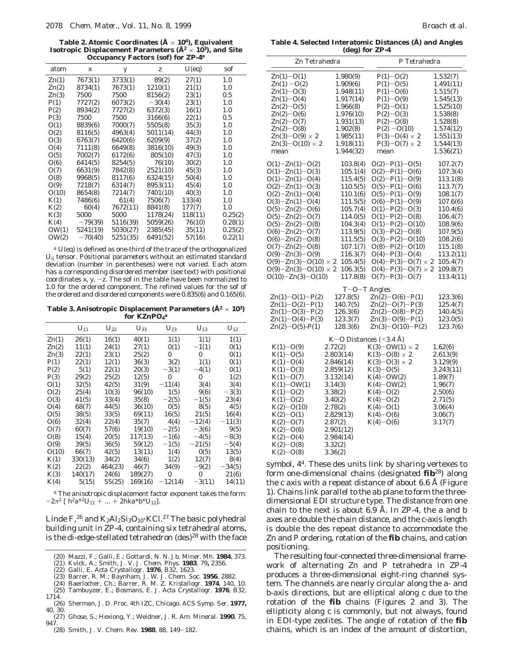**Table 2. Atomic Coordinates (Å** × **104), Equivalent Isotropic Displacement Parameters (Å2** × **103), and Site Occupancy Factors (sof) for ZP-4***<sup>a</sup>*

|                |                  | ◡        |          |          |         |
|----------------|------------------|----------|----------|----------|---------|
| atom           | $\boldsymbol{X}$ | У        | Z        | $U$ (eq) | sof     |
| $\text{Zn}(1)$ | 7673(1)          | 3733(1)  | 89(2)    | 27(1)    | 1.0     |
| Zn(2)          | 8734(1)          | 7673(1)  | 1210(1)  | 21(1)    | 1.0     |
| Zn(3)          | 7500             | 7500     | 8156(2)  | 23(1)    | 0.5     |
| P(1)           | 7727(2)          | 6073(2)  | $-30(4)$ | 23(1)    | 1.0     |
| P(2)           | 8934(2)          | 7727(2)  | 6372(3)  | 16(1)    | 1.0     |
| P(3)           | 7500             | 7500     | 3166(6)  | 22(1)    | $0.5\,$ |
| O(1)           | 8839(6)          | 7000(7)  | 5505(8)  | 35(3)    | 1.0     |
| O(2)           | 8116(5)          | 4963(4)  | 5011(14) | 44(3)    | 1.0     |
| O(3)           | 6763(7)          | 6420(6)  | 6209(9)  | 37(2)    | 1.0     |
| O(4)           | 7111(8)          | 6649(8)  | 3816(10) | 49(3)    | 1.0     |
| O(5)           | 7002(7)          | 6172(6)  | 805(10)  | 47(3)    | 1.0     |
| O(6)           | 6414(5)          | 8254(5)  | 76(10)   | 30(2)    | 1.0     |
| O(7)           | 6631(9)          | 7842(8)  | 2521(10) | 45(3)    | 1.0     |
| O(8)           | 9968(5)          | 8117(6)  | 6324(15) | 50(4)    | 1.0     |
| O(9)           | 7218(7)          | 6314(7)  | 8953(11) | 45(4)    | 1.0     |
| O(10)          | 8654(8)          | 7214(7)  | 7401(10) | 40(3)    | 1.0     |
| K(1)           | 7486(6)          | 61(4)    | 7506(7)  | 133(4)   | 1.0     |
| K(2)           | 60(4)            | 7672(11) | 8841(8)  | 177(7)   | 1.0     |
| K(3)           | 5000             | 5000     | 1178(24) | 118(11)  | 0.25(2) |
| K(4)           | $-79(39)$        | 5116(39) | 5059(26) | 76(10)   | 0.28(1) |
| OW(1)          | 5241(19)         | 5030(27) | 2385(45) | 35(11)   | 0.25(2) |
| OW(2)          | $-70(40)$        | 5251(35) | 6491(52) | 57(16)   | 0.22(1) |
|                |                  |          |          |          |         |

*<sup>a</sup> U*(eq) is defined as one-third of the trace of the orthogonalized *Uij* tensor. Positional parameters without an estimated standard deviation (number in parentheses) were not varied. Each atom has a corresponding disordered member (see text) with positional coordinates  $x$ ,  $y$ ,  $-z$ . The sof in the table have been normalized to 1.0 for the ordered component. The refined values for the sof of the ordered and disordered components were 0.835(6) and 0.165(6).

**Table 3. Anisotropic Displacement Parameters (Å2** × **103) for KZnPO4** *a*

|                | $U_{11}$ | $U_{22}$ | $U_{33}$ | $U_{23}$  | $U_{13}$ | $U_{12}$ |
|----------------|----------|----------|----------|-----------|----------|----------|
| $\text{Zn}(1)$ | 26(1)    | 16(1)    | 40(1)    | 1(1)      | 1(1)     | 1(1)     |
| Zn(2)          | 11(1)    | 24(1)    | 27(1)    | 0(1)      | $-1(1)$  | 0(1)     |
| Zn(3)          | 22(1)    | 23(1)    | 25(2)    | 0         | 0        | 0(1)     |
| P(1)           | 22(1)    | 12(1)    | 36(3)    | 3(2)      | 1(1)     | 0(1)     |
| P(2)           | 5(1)     | 22(1)    | 20(3)    | $-3(1)$   | $-4(1)$  | 0(1)     |
| P(3)           | 29(2)    | 25(2)    | 12(5)    | $\bf{0}$  | 0        | 1(2)     |
| O(1)           | 32(5)    | 42(5)    | 31(9)    | $-11(4)$  | 3(4)     | 3(4)     |
| O(2)           | 25(4)    | 10(3)    | 96(10)   | 1(5)      | 9(6)     | $-3(3)$  |
| O(3)           | 41(5)    | 33(4)    | 35(8)    | $-2(5)$   | $-1(5)$  | 23(4)    |
| O(4)           | 68(7)    | 44(5)    | 36(10)   | 0(5)      | 8(5)     | 4(5)     |
| O(5)           | 38(5)    | 33(5)    | 69(11)   | 16(5)     | 21(5)    | 16(4)    |
| O(6)           | 32(4)    | 22(4)    | 35(7)    | 4(4)      | $-12(4)$ | $-11(3)$ |
| O(7)           | 60(7)    | 57(6)    | 19(10)   | $-2(5)$   | $-3(6)$  | 9(5)     |
| O(8)           | 15(4)    | 20(5)    | 117(13)  | $-1(6)$   | $-4(5)$  | $-8(3)$  |
| O(9)           | 39(5)    | 36(5)    | 59(12)   | $-1(5)$   | $-21(5)$ | $-5(4)$  |
| O(10)          | 66(7)    | 42(5)    | 13(11)   | 1(4)      | 0(5)     | 13(5)    |
| K(1)           | 330(13)  | 34(2)    | 34(6)    | 1(2)      | 12(7)    | 8(4)     |
| K(2)           | 22(2)    | 464(23)  | 46(7)    | 34(9)     | $-9(2)$  | $-34(5)$ |
| K(3)           | 140(17)  | 24(6)    | 189(27)  | $\bf{0}$  | 0        | 21(6)    |
| K(4)           | 5(15)    | 55(25)   | 169(16)  | $-12(14)$ | $-3(11)$ | 14(11)   |
|                |          |          |          |           |          |          |

*<sup>a</sup>* The anisotropic displacement factor exponent takes the form:  $-2\pi^2$  [  $h^2a^{*2}U_{11} + ... + 2hka^*b^*U_{12}$ ].

Linde F,<sup>26</sup> and  $K_2Al_2Si_3O_{10}$  KCl.<sup>27</sup> The basic polyhedral building unit in ZP-4, containing six tetrahedral atoms, is the di-edge-stellated tetrahedron  $(des)^{28}$  with the face

- (20) Mazzi, F.; Galli, E.; Gottardi, N. *N. Jb. Miner. Mh.* **1984**, 373.
- (21) Kvick, A.; Smith, J. V. *J. Chem. Phys.* **1983**, *79***,** 2356.
- (22) Galli, E. *Acta Crystallogr.* **1976**, *B32,* 1623.
- (23) Barrer, R. M.; Baynham, J. W. *J. Chem. Soc.* **1956**, 2882.
- 
- (24) Baerlocher, Ch.; Barrer, R. M. *Z. Kristallogr.* **1974**, *140*, 10. (25) Tambuyzer, E.; Bosmans, E. J. *Acta Crystallogr.* **1976**, *B32*, 1714.
- (26) Sherman, J. D. Proc. 4th IZC, Chicago*. ACS Symp. Ser.* **1977,** *40*, 30.
- (27) Ghose, S.; Hexiong, Y.; Weidner, J. R. *Am. Mineral.* **1990**, *75*, 947.
- (28) Smith, J. V. *Chem. Rev.* **<sup>1988</sup>**, *<sup>88</sup>*, 149-182.

**Table 4. Selected Interatomic Distances (Å) and Angles (deg) for ZP-4**

| Zn Tetrahedra                       |                                            | P Tetrahedra              |           |  |
|-------------------------------------|--------------------------------------------|---------------------------|-----------|--|
| $Zn(1)-O(1)$                        | 1.980(9)                                   | $P(1) - O(2)$             | 1.532(7)  |  |
| $Zn(1) - O(2)$                      | 1.909(6)                                   | $P(1) - O(5)$             | 1.491(11) |  |
| $Zn(1)-O(3)$                        | 1.948(11)                                  | $P(1) - O(6)$             | 1.515(7)  |  |
| $Zn(1)-O(4)$                        | 1.917(14)                                  | $P(1) - O(9)$             | 1.545(13) |  |
| $Zn(2)-O(5)$                        | 1.966(8)                                   | $P(2)-O(1)$               | 1.525(10) |  |
| $Zn(2)-O(6)$                        | 1.976(10)                                  | $P(2)-O(3)$               | 1.538(8)  |  |
| $Zn(2)-O(7)$                        | 1.931(13)                                  | $P(2)-O(8)$               | 1.528(8)  |  |
| $Zn(2)-O(8)$                        | 1.902(8)                                   | $P(2) - O(10)$            | 1.574(12) |  |
| $\text{Zn}(3)-\text{O}(9) \times 2$ | 1.985(11)                                  | $P(3)-O(4) \times 2$      | 1.551(13) |  |
| $\text{Zn}(3)-\text{O}(10)\times 2$ | 1.918(11)                                  | $P(3)-O(7) \times 2$      | 1.544(13) |  |
| mean                                | 1.944(32)                                  | mean                      | 1.536(21) |  |
| $O(1) - Zn(1) - O(2)$               | 103.8(4)                                   | $O(2)-P(1)-O(5)$          | 107.2(7)  |  |
| $O(1) - Zn(1) - O(3)$               | 105.1(4)                                   | $O(2)-P(1)-O(6)$          | 107.3(4)  |  |
| $O(1) - Zn(1) - O(4)$               | 115.4(5)                                   | $O(2)-P(1)-O(9)$          | 113.1(8)  |  |
| $O(2) - Zn(1) - O(3)$               | 110.5(5)                                   | $O(5)-P(1)-O(6)$          | 113.7(7)  |  |
| $O(2) - Zn(1) - O(4)$               | 110.1(6)                                   | $O(5)-P(1)-O(9)$          | 108.1(7)  |  |
| $O(3) - Zn(1) - O(4)$               | 111.5(5)                                   | $O(6)-P(1)-O(9)$          | 107.6(6)  |  |
| $O(5) - Zn(2) - O(6)$               | 105.7(4)                                   | $O(1) - P(2) - O(3)$      | 110.4(6)  |  |
| $O(5) - Zn(2) - O(7)$               | 114.0(5)                                   | $O(1) - P(2) - O(8)$      | 106.4(7)  |  |
| $O(5) - Zn(2) - O(8)$               | 104.3(4)                                   | $O(1) - P(2) - O(10)$     | 108.9(6)  |  |
| $O(6) - Zn(2) - O(7)$               | 113.9(5)                                   | $O(3)-P(2)-O(8)$          | 107.9(5)  |  |
| $O(6) - Zn(2) - O(8)$               | 111.5(5)                                   | $O(3)-P(2)-O(10)$         | 108.2(6)  |  |
| $O(7) - Zn(2) - O(8)$               | 107.1(7)                                   | $O(8)-P(2)-O(10)$         | 115.1(8)  |  |
| $O(9) - Zn(3) - O(9)$               | 116.3(7)                                   | $O(4) - P(3) - O(4)$      | 113.2(11) |  |
| $O(9) - Zn(3) - O(10) \times 2$     | 105.4(5)                                   | $O(4)-P(3)-O(7) \times 2$ | 105.4(7)  |  |
| $O(9) - Zn(3) - O(10) \times 2$     | 106.3(5)                                   | $O(4)-P(3)-O(7) \times 2$ | 109.8(7)  |  |
| $O(10) - Zn(3) - O(10)$             | 117.8(8)                                   | $O(7)-P(3)-O(7)$          | 113.4(11) |  |
|                                     | $T-O-T$ Angles                             |                           |           |  |
| $Zn(1)-O(1)-P(2)$                   | 127.8(5)                                   | $Zn(2)-O(6)-P(1)$         | 123.3(6)  |  |
| $Zn(1)-O(2)-P(1)$                   | 140.7(5)                                   | $Zn(2)-O(7)-P(3)$         | 125.4(7)  |  |
| $Zn(1)-O(3)-P(2)$                   | 126.3(6)                                   | $Zn(2)-O(8)-P(2)$         | 140.4(5)  |  |
| $Zn(1)-O(4)-P(3)$                   | 123.3(7)                                   | $Zn(3)-O(9)-P(1)$         | 123.0(5)  |  |
| $Zn(2)-O(5)-P(1)$                   | 128.3(6)                                   | $Zn(3)-O(10)-P(2)$        | 123.7(6)  |  |
|                                     |                                            |                           |           |  |
| $K(1) - O(9)$                       | K-O Distances $(3.4 \text{ Å})$<br>2.72(2) | $K(3)-OW(1)\times 2$      | 1.62(6)   |  |
| $K(1) - O(5)$                       | 2.803(14)                                  | $K(3)-O(8) \times 2$      | 2.613(9)  |  |
| $K(1) - O(4)$                       | 2.846(14)                                  | $K(3)-O(3) \times 2$      | 3.129(9)  |  |
| $K(1) - O(3)$                       | 2.859(12)                                  | $K(3)-O(5)$               | 3.243(11) |  |
| $K(1) - O(7)$                       | 3.132(14)                                  | $K(4)-OW(2)$              | 1.89(7)   |  |
| $K(1)-OW(1)$                        | 3.14(3)                                    | $K(4)$ – OW(2)            | 1.96(7)   |  |
| $K(1) - O(2)$                       | 3.38(2)                                    | $K(4) - O(2)$             | 2.50(6)   |  |
| $K(1) - O(2)$                       | 3.40(2)                                    | $K(4)-O(2)$               | 2.71(5)   |  |
| $K(2)-O(10)$                        | 2.78(2)                                    | $K(4)-O(1)$               | 3.06(4)   |  |
| $K(2)-O(1)$                         | 2.829(13)                                  | $K(4)-O(6)$               | 3.06(7)   |  |
| $K(2)-O(7)$                         | 2.87(2)                                    | $K(4)-O(6)$               |           |  |
| $K(2)-O(6)$                         |                                            |                           | 3.17(7)   |  |
|                                     | 2.901(12)                                  |                           |           |  |
| $K(2)-O(4)$                         | 2.984(14)                                  |                           |           |  |
| $K(2)-O(8)$                         | 3.32(2)                                    |                           |           |  |
| $K(2)-O(8)$                         | 3.36(2)                                    |                           |           |  |

symbol, *44*. These des units link by sharing vertexes to form one-dimensional chains (designated **fib**28) along the *c* axis with a repeat distance of about 6.6 Å (Figure 1). Chains link parallel to the *ab* plane to form the threedimensional EDI structure type. The distance from one chain to the next is about 6.9 Å. In ZP-4, the *a* and *b* axes are double the chain distance, and the *c*-axis length is double the des repeat distance to accommodate the Zn and P ordering, rotation of the **fib** chains, and cation positioning.

The resulting four-connected three-dimensional framework of alternating Zn and P tetrahedra in ZP-4 produces a three-dimensional eight-ring channel system. The channels are nearly circular along the *a*- and *b*-axis directions, but are elliptical along *c* due to the rotation of the **fib** chains (Figures 2 and 3). The ellipticity along *c* is commonly, but not always, found in EDI-type zeolites. The angle of rotation of the **fib** chains, which is an index of the amount of distortion,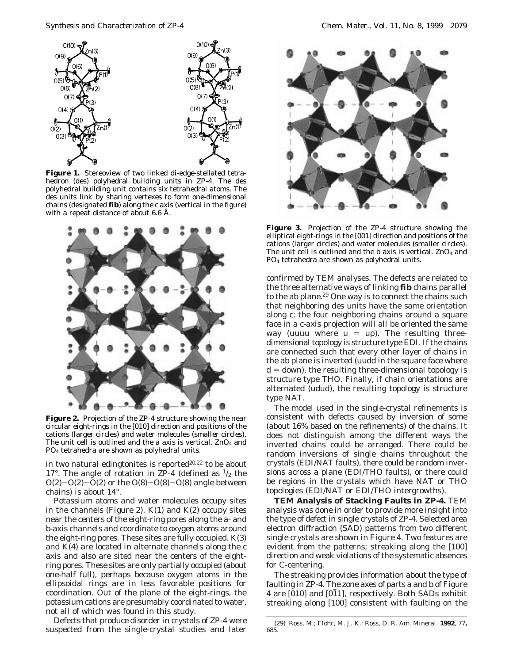

**Figure 1.** Stereoview of two linked di-edge-stellated tetrahedron (des) polyhedral building units in ZP-4. The des polyhedral building unit contains six tetrahedral atoms. The des units link by sharing vertexes to form one-dimensional chains (designated **fib**) along the *c* axis (vertical in the figure) with a repeat distance of about 6.6 Å.



**Figure 2.** Projection of the ZP-4 structure showing the near circular eight-rings in the [010] direction and positions of the cations (larger circles) and water molecules (smaller circles). The unit cell is outlined and the *a* axis is vertical. ZnO4 and PO4 tetrahedra are shown as polyhedral units.

in two natural edingtonites is reported $20.22$  to be about 17°. The angle of rotation in ZP-4 (defined as  $\frac{1}{2}$  the  $O(2)-O(2)-O(2)$  or the  $O(8)-O(8)-O(8)$  angle between chains) is about 14°.

Potassium atoms and water molecules occupy sites in the channels (Figure 2).  $K(1)$  and  $K(2)$  occupy sites near the centers of the eight-ring pores along the *a*- and *b*-axis channels and coordinate to oxygen atoms around the eight-ring pores. These sites are fully occupied. K(3) and K(4) are located in alternate channels along the *c* axis and also are sited near the centers of the eightring pores. These sites are only partially occupied (about one-half full), perhaps because oxygen atoms in the ellipsoidal rings are in less favorable positions for coordination. Out of the plane of the eight-rings, the potassium cations are presumably coordinated to water, not all of which was found in this study.

Defects that produce disorder in crystals of ZP-4 were suspected from the single-crystal studies and later



**Figure 3.** Projection of the ZP-4 structure showing the elliptical eight-rings in the [001] direction and positions of the cations (larger circles) and water molecules (smaller circles). The unit cell is outlined and the  $b$  axis is vertical. ZnO<sub>4</sub> and PO4 tetrahedra are shown as polyhedral units.

confirmed by TEM analyses. The defects are related to the three alternative ways of linking **fib** chains parallel to the *ab* plane.<sup>29</sup> One way is to connect the chains such that neighboring des units have the same orientation along *c*; the four neighboring chains around a square face in a *c*-axis projection will all be oriented the same way (uuuu where  $u = up$ ). The resulting threedimensional topology is structure type EDI. If the chains are connected such that every other layer of chains in the *ab* plane is inverted (uudd in the square face where  $d =$  down), the resulting three-dimensional topology is structure type THO. Finally, if chain orientations are alternated (udud), the resulting topology is structure type NAT.

The model used in the single-crystal refinements is consistent with defects caused by inversion of some (about 16% based on the refinements) of the chains. It does not distinguish among the different ways the inverted chains could be arranged. There could be random inversions of single chains throughout the crystals (EDI/NAT faults), there could be random inversions across a plane (EDI/THO faults), or there could be regions in the crystals which have NAT or THO topologies (EDI/NAT or EDI/THO intergrowths).

**TEM Analysis of Stacking Faults in ZP-4.** TEM analysis was done in order to provide more insight into the type of defect in single crystals of ZP-4. Selected area electron diffraction (SAD) patterns from two different single crystals are shown in Figure 4. Two features are evident from the patterns; streaking along the [100] direction and weak violations of the systematic absences for C-centering.

The streaking provides information about the type of faulting in ZP-4. The zone axes of parts a and b of Figure 4 are [010] and [011], respectively. Both SADs exhibit streaking along [100] consistent with faulting on the

<sup>(29)</sup> Ross, M.; Flohr, M. J. K.; Ross, D. R. *Am. Mineral.* **1992**, *77***,** 685.